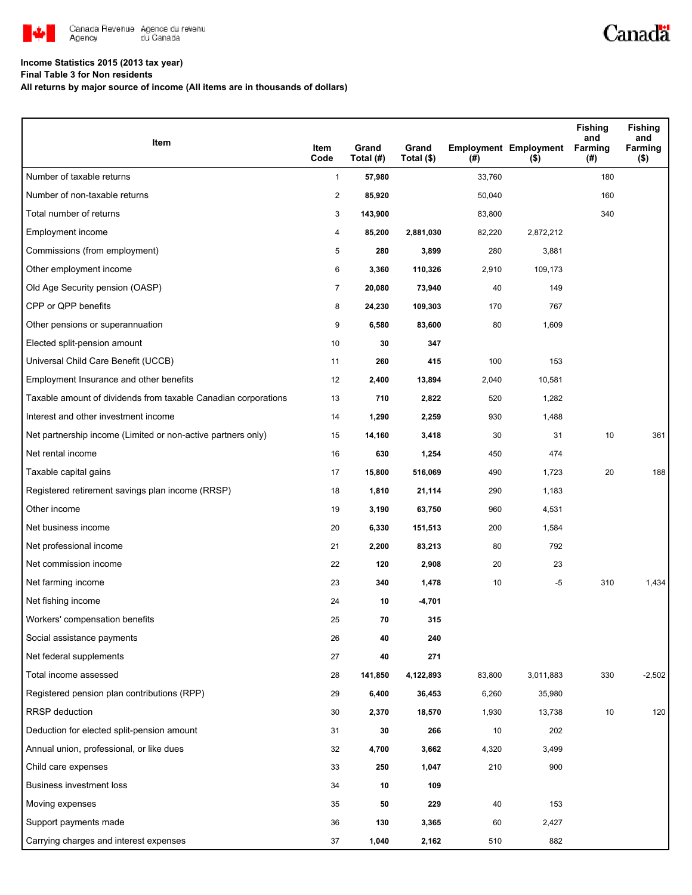

## **Income Statistics 2015 (2013 tax year)**

**Final Table 3 for Non residents**

**All returns by major source of income (All items are in thousands of dollars)**

| Item                                                           | Item<br>Code   | Grand<br>Total (#) | Grand<br>Total (\$) | $($ #) | <b>Employment Employment</b><br>$($ \$) | Fishing<br>and<br>Farming<br>(#) | <b>Fishing</b><br>and<br>Farming<br>$($ \$) |
|----------------------------------------------------------------|----------------|--------------------|---------------------|--------|-----------------------------------------|----------------------------------|---------------------------------------------|
| Number of taxable returns                                      | $\mathbf{1}$   | 57,980             |                     | 33,760 |                                         | 180                              |                                             |
| Number of non-taxable returns                                  | $\overline{2}$ | 85,920             |                     | 50,040 |                                         | 160                              |                                             |
| Total number of returns                                        | 3              | 143,900            |                     | 83,800 |                                         | 340                              |                                             |
| Employment income                                              | 4              | 85,200             | 2,881,030           | 82,220 | 2,872,212                               |                                  |                                             |
| Commissions (from employment)                                  | 5              | 280                | 3,899               | 280    | 3,881                                   |                                  |                                             |
| Other employment income                                        | 6              | 3,360              | 110,326             | 2,910  | 109,173                                 |                                  |                                             |
| Old Age Security pension (OASP)                                | $\overline{7}$ | 20,080             | 73,940              | 40     | 149                                     |                                  |                                             |
| CPP or QPP benefits                                            | 8              | 24,230             | 109,303             | 170    | 767                                     |                                  |                                             |
| Other pensions or superannuation                               | 9              | 6,580              | 83,600              | 80     | 1,609                                   |                                  |                                             |
| Elected split-pension amount                                   | 10             | 30                 | 347                 |        |                                         |                                  |                                             |
| Universal Child Care Benefit (UCCB)                            | 11             | 260                | 415                 | 100    | 153                                     |                                  |                                             |
| Employment Insurance and other benefits                        | 12             | 2,400              | 13,894              | 2,040  | 10,581                                  |                                  |                                             |
| Taxable amount of dividends from taxable Canadian corporations | 13             | 710                | 2,822               | 520    | 1,282                                   |                                  |                                             |
| Interest and other investment income                           | 14             | 1,290              | 2,259               | 930    | 1,488                                   |                                  |                                             |
| Net partnership income (Limited or non-active partners only)   | 15             | 14,160             | 3,418               | 30     | 31                                      | 10                               | 361                                         |
| Net rental income                                              | 16             | 630                | 1,254               | 450    | 474                                     |                                  |                                             |
| Taxable capital gains                                          | 17             | 15,800             | 516,069             | 490    | 1,723                                   | 20                               | 188                                         |
| Registered retirement savings plan income (RRSP)               | 18             | 1,810              | 21,114              | 290    | 1,183                                   |                                  |                                             |
| Other income                                                   | 19             | 3,190              | 63,750              | 960    | 4,531                                   |                                  |                                             |
| Net business income                                            | 20             | 6,330              | 151,513             | 200    | 1,584                                   |                                  |                                             |
| Net professional income                                        | 21             | 2,200              | 83,213              | 80     | 792                                     |                                  |                                             |
| Net commission income                                          | 22             | 120                | 2,908               | 20     | 23                                      |                                  |                                             |
| Net farming income                                             | 23             | 340                | 1,478               | 10     | -5                                      | 310                              | 1,434                                       |
| Net fishing income                                             | 24             | 10                 | -4,701              |        |                                         |                                  |                                             |
| Workers' compensation benefits                                 | 25             | 70                 | 315                 |        |                                         |                                  |                                             |
| Social assistance payments                                     | 26             | 40                 | 240                 |        |                                         |                                  |                                             |
| Net federal supplements                                        | 27             | 40                 | 271                 |        |                                         |                                  |                                             |
| Total income assessed                                          | 28             | 141,850            | 4,122,893           | 83,800 | 3,011,883                               | 330                              | $-2,502$                                    |
| Registered pension plan contributions (RPP)                    | 29             | 6,400              | 36,453              | 6,260  | 35,980                                  |                                  |                                             |
| <b>RRSP</b> deduction                                          | 30             | 2,370              | 18,570              | 1,930  | 13,738                                  | 10                               | 120                                         |
| Deduction for elected split-pension amount                     | 31             | 30                 | 266                 | 10     | 202                                     |                                  |                                             |
| Annual union, professional, or like dues                       | 32             | 4,700              | 3,662               | 4,320  | 3,499                                   |                                  |                                             |
| Child care expenses                                            | 33             | 250                | 1,047               | 210    | 900                                     |                                  |                                             |
| Business investment loss                                       | 34             | 10                 | 109                 |        |                                         |                                  |                                             |
| Moving expenses                                                | 35             | 50                 | 229                 | 40     | 153                                     |                                  |                                             |
| Support payments made                                          | 36             | 130                | 3,365               | 60     | 2,427                                   |                                  |                                             |
| Carrying charges and interest expenses                         | 37             | 1,040              | 2,162               | 510    | 882                                     |                                  |                                             |

Canadä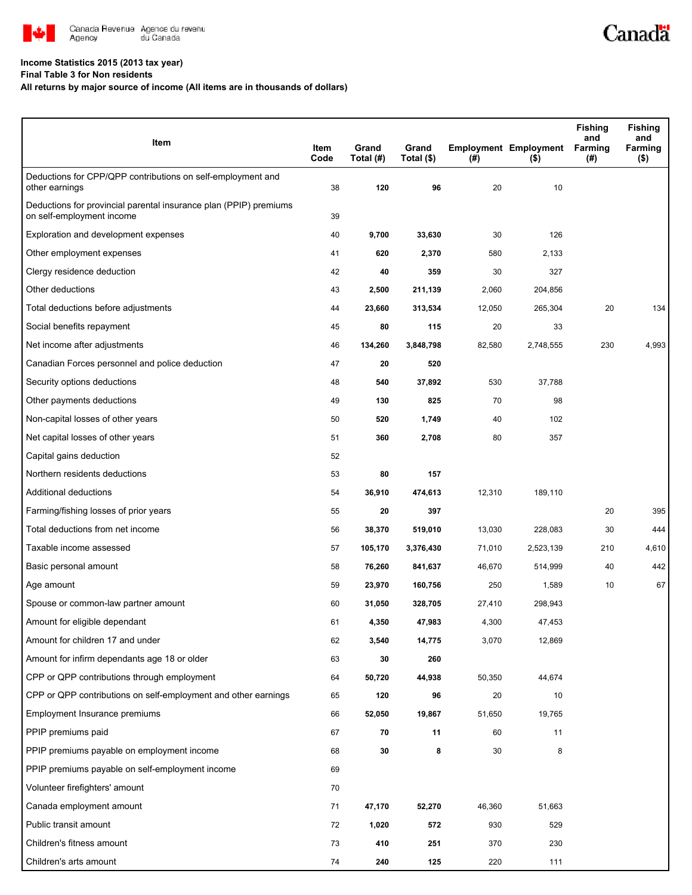

## **Income Statistics 2015 (2013 tax year)**

**Final Table 3 for Non residents**

## **All returns by major source of income (All items are in thousands of dollars)**

| Item                                                                                           | Item<br>Code | Grand<br>Total (#) | Grand<br>Total (\$) | $($ #) | <b>Employment Employment</b><br>$($ \$) | <b>Fishing</b><br>and<br>Farming<br>$($ #) | <b>Fishing</b><br>and<br>Farming<br>(\$) |
|------------------------------------------------------------------------------------------------|--------------|--------------------|---------------------|--------|-----------------------------------------|--------------------------------------------|------------------------------------------|
| Deductions for CPP/QPP contributions on self-employment and<br>other earnings                  | 38           | 120                | 96                  | 20     | 10                                      |                                            |                                          |
| Deductions for provincial parental insurance plan (PPIP) premiums<br>on self-employment income | 39           |                    |                     |        |                                         |                                            |                                          |
| Exploration and development expenses                                                           | 40           | 9,700              | 33,630              | 30     | 126                                     |                                            |                                          |
| Other employment expenses                                                                      | 41           | 620                | 2,370               | 580    | 2,133                                   |                                            |                                          |
| Clergy residence deduction                                                                     | 42           | 40                 | 359                 | 30     | 327                                     |                                            |                                          |
| Other deductions                                                                               | 43           | 2,500              | 211,139             | 2,060  | 204,856                                 |                                            |                                          |
| Total deductions before adjustments                                                            | 44           | 23,660             | 313,534             | 12,050 | 265,304                                 | 20                                         | 134                                      |
| Social benefits repayment                                                                      | 45           | 80                 | 115                 | 20     | 33                                      |                                            |                                          |
| Net income after adjustments                                                                   | 46           | 134,260            | 3,848,798           | 82,580 | 2,748,555                               | 230                                        | 4,993                                    |
| Canadian Forces personnel and police deduction                                                 | 47           | 20                 | 520                 |        |                                         |                                            |                                          |
| Security options deductions                                                                    | 48           | 540                | 37,892              | 530    | 37,788                                  |                                            |                                          |
| Other payments deductions                                                                      | 49           | 130                | 825                 | 70     | 98                                      |                                            |                                          |
| Non-capital losses of other years                                                              | 50           | 520                | 1,749               | 40     | 102                                     |                                            |                                          |
| Net capital losses of other years                                                              | 51           | 360                | 2,708               | 80     | 357                                     |                                            |                                          |
| Capital gains deduction                                                                        | 52           |                    |                     |        |                                         |                                            |                                          |
| Northern residents deductions                                                                  | 53           | 80                 | 157                 |        |                                         |                                            |                                          |
| Additional deductions                                                                          | 54           | 36,910             | 474,613             | 12,310 | 189,110                                 |                                            |                                          |
| Farming/fishing losses of prior years                                                          | 55           | 20                 | 397                 |        |                                         | 20                                         | 395                                      |
| Total deductions from net income                                                               | 56           | 38,370             | 519,010             | 13,030 | 228,083                                 | 30                                         | 444                                      |
| Taxable income assessed                                                                        | 57           | 105,170            | 3,376,430           | 71,010 | 2,523,139                               | 210                                        | 4,610                                    |
| Basic personal amount                                                                          | 58           | 76,260             | 841,637             | 46,670 | 514,999                                 | 40                                         | 442                                      |
| Age amount                                                                                     | 59           | 23,970             | 160,756             | 250    | 1,589                                   | 10                                         | 67                                       |
| Spouse or common-law partner amount                                                            | 60           | 31,050             | 328,705             | 27,410 | 298,943                                 |                                            |                                          |
| Amount for eligible dependant                                                                  | 61           | 4,350              | 47,983              | 4,300  | 47,453                                  |                                            |                                          |
| Amount for children 17 and under                                                               | 62           | 3,540              | 14,775              | 3,070  | 12,869                                  |                                            |                                          |
| Amount for infirm dependants age 18 or older                                                   | 63           | 30                 | 260                 |        |                                         |                                            |                                          |
| CPP or QPP contributions through employment                                                    | 64           | 50,720             | 44,938              | 50,350 | 44,674                                  |                                            |                                          |
| CPP or QPP contributions on self-employment and other earnings                                 | 65           | 120                | 96                  | 20     | 10                                      |                                            |                                          |
| Employment Insurance premiums                                                                  | 66           | 52,050             | 19,867              | 51,650 | 19,765                                  |                                            |                                          |
| PPIP premiums paid                                                                             | 67           | 70                 | 11                  | 60     | 11                                      |                                            |                                          |
| PPIP premiums payable on employment income                                                     | 68           | 30                 | 8                   | 30     | 8                                       |                                            |                                          |
| PPIP premiums payable on self-employment income                                                | 69           |                    |                     |        |                                         |                                            |                                          |
| Volunteer firefighters' amount                                                                 | 70           |                    |                     |        |                                         |                                            |                                          |
| Canada employment amount                                                                       | 71           | 47,170             | 52,270              | 46,360 | 51,663                                  |                                            |                                          |
| Public transit amount                                                                          | 72           | 1,020              | 572                 | 930    | 529                                     |                                            |                                          |
| Children's fitness amount                                                                      | 73           | 410                | 251                 | 370    | 230                                     |                                            |                                          |
| Children's arts amount                                                                         | 74           | 240                | 125                 | 220    | 111                                     |                                            |                                          |

Canadä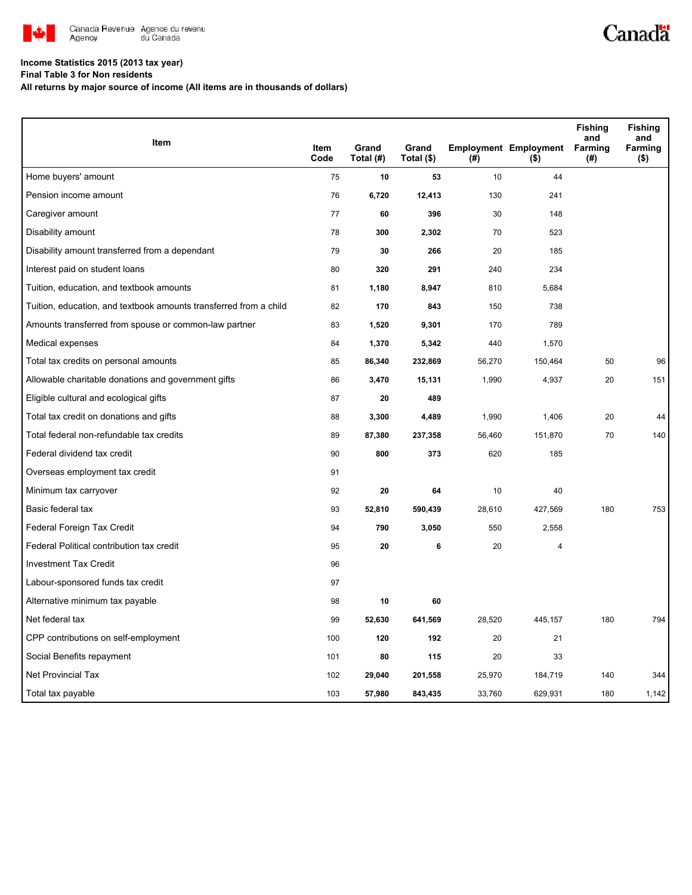

## **Income Statistics 2015 (2013 tax year)**

**Final Table 3 for Non residents**

**All returns by major source of income (All items are in thousands of dollars)**

|                                                                   |                     |                    |                     |        |                                         | <b>Fishing</b><br>and | <b>Fishing</b><br>and |
|-------------------------------------------------------------------|---------------------|--------------------|---------------------|--------|-----------------------------------------|-----------------------|-----------------------|
| Item                                                              | <b>Item</b><br>Code | Grand<br>Total (#) | Grand<br>Total (\$) | (#)    | <b>Employment Employment</b><br>$($ \$) | Farming<br>(#)        | Farming<br>( \$ )     |
| Home buyers' amount                                               | 75                  | 10                 | 53                  | 10     | 44                                      |                       |                       |
| Pension income amount                                             | 76                  | 6,720              | 12,413              | 130    | 241                                     |                       |                       |
| Caregiver amount                                                  | 77                  | 60                 | 396                 | 30     | 148                                     |                       |                       |
| Disability amount                                                 | 78                  | 300                | 2,302               | 70     | 523                                     |                       |                       |
| Disability amount transferred from a dependant                    | 79                  | 30                 | 266                 | 20     | 185                                     |                       |                       |
| Interest paid on student loans                                    | 80                  | 320                | 291                 | 240    | 234                                     |                       |                       |
| Tuition, education, and textbook amounts                          | 81                  | 1,180              | 8,947               | 810    | 5,684                                   |                       |                       |
| Tuition, education, and textbook amounts transferred from a child | 82                  | 170                | 843                 | 150    | 738                                     |                       |                       |
| Amounts transferred from spouse or common-law partner             | 83                  | 1,520              | 9,301               | 170    | 789                                     |                       |                       |
| Medical expenses                                                  | 84                  | 1,370              | 5,342               | 440    | 1,570                                   |                       |                       |
| Total tax credits on personal amounts                             | 85                  | 86,340             | 232,869             | 56,270 | 150,464                                 | 50                    | 96                    |
| Allowable charitable donations and government gifts               | 86                  | 3,470              | 15,131              | 1,990  | 4,937                                   | 20                    | 151                   |
| Eligible cultural and ecological gifts                            | 87                  | 20                 | 489                 |        |                                         |                       |                       |
| Total tax credit on donations and gifts                           | 88                  | 3,300              | 4,489               | 1,990  | 1,406                                   | 20                    | 44                    |
| Total federal non-refundable tax credits                          | 89                  | 87,380             | 237,358             | 56,460 | 151,870                                 | 70                    | 140                   |
| Federal dividend tax credit                                       | 90                  | 800                | 373                 | 620    | 185                                     |                       |                       |
| Overseas employment tax credit                                    | 91                  |                    |                     |        |                                         |                       |                       |
| Minimum tax carryover                                             | 92                  | 20                 | 64                  | 10     | 40                                      |                       |                       |
| Basic federal tax                                                 | 93                  | 52,810             | 590,439             | 28,610 | 427,569                                 | 180                   | 753                   |
| Federal Foreign Tax Credit                                        | 94                  | 790                | 3,050               | 550    | 2,558                                   |                       |                       |
| Federal Political contribution tax credit                         | 95                  | 20                 | 6                   | 20     | 4                                       |                       |                       |
| <b>Investment Tax Credit</b>                                      | 96                  |                    |                     |        |                                         |                       |                       |
| Labour-sponsored funds tax credit                                 | 97                  |                    |                     |        |                                         |                       |                       |
| Alternative minimum tax payable                                   | 98                  | 10                 | 60                  |        |                                         |                       |                       |
| Net federal tax                                                   | 99                  | 52,630             | 641,569             | 28,520 | 445,157                                 | 180                   | 794                   |
| CPP contributions on self-employment                              | 100                 | 120                | 192                 | 20     | 21                                      |                       |                       |
| Social Benefits repayment                                         | 101                 | 80                 | 115                 | 20     | 33                                      |                       |                       |
| <b>Net Provincial Tax</b>                                         | 102                 | 29,040             | 201,558             | 25,970 | 184,719                                 | 140                   | 344                   |
| Total tax payable                                                 | 103                 | 57,980             | 843,435             | 33,760 | 629,931                                 | 180                   | 1,142                 |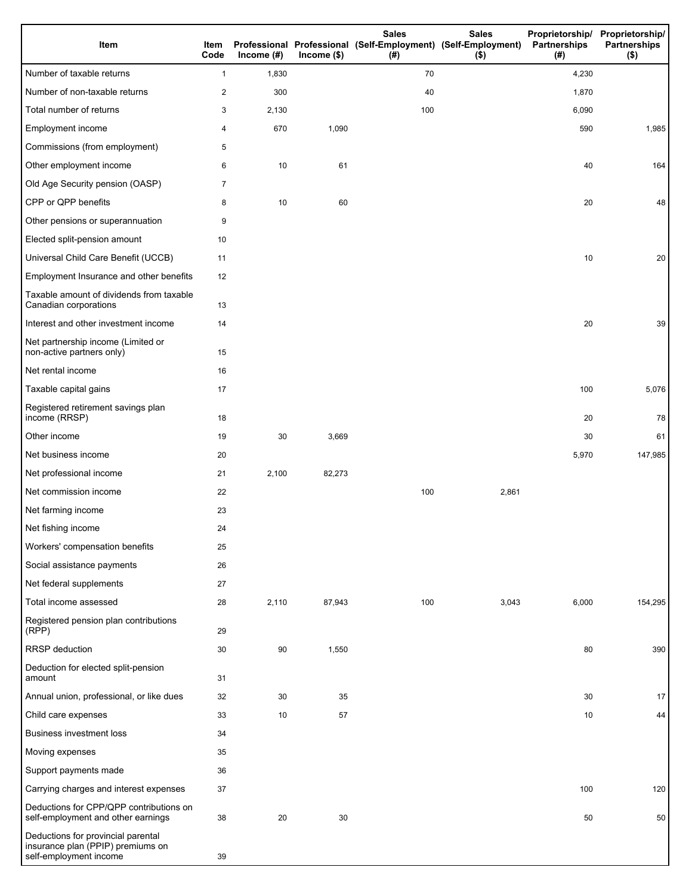| Item                                                                                              | Item<br>Code   | Income $(\#)$ | $Income$ (\$) | <b>Sales</b><br>Professional Professional (Self-Employment) (Self-Employment)<br>(# ) | <b>Sales</b><br>$($ \$) | Proprietorship/ Proprietorship/<br>Partnerships<br>(#) | <b>Partnerships</b><br>$($ \$) |
|---------------------------------------------------------------------------------------------------|----------------|---------------|---------------|---------------------------------------------------------------------------------------|-------------------------|--------------------------------------------------------|--------------------------------|
| Number of taxable returns                                                                         | 1              | 1,830         |               | 70                                                                                    |                         | 4,230                                                  |                                |
| Number of non-taxable returns                                                                     | 2              | 300           |               | 40                                                                                    |                         | 1,870                                                  |                                |
| Total number of returns                                                                           | 3              | 2,130         |               | 100                                                                                   |                         | 6,090                                                  |                                |
| Employment income                                                                                 | 4              | 670           | 1,090         |                                                                                       |                         | 590                                                    | 1,985                          |
| Commissions (from employment)                                                                     | 5              |               |               |                                                                                       |                         |                                                        |                                |
| Other employment income                                                                           | 6              | 10            | 61            |                                                                                       |                         | 40                                                     | 164                            |
| Old Age Security pension (OASP)                                                                   | $\overline{7}$ |               |               |                                                                                       |                         |                                                        |                                |
| CPP or QPP benefits                                                                               | 8              | 10            | 60            |                                                                                       |                         | 20                                                     | 48                             |
| Other pensions or superannuation                                                                  | 9              |               |               |                                                                                       |                         |                                                        |                                |
| Elected split-pension amount                                                                      | 10             |               |               |                                                                                       |                         |                                                        |                                |
| Universal Child Care Benefit (UCCB)                                                               | 11             |               |               |                                                                                       |                         | 10                                                     | 20                             |
| Employment Insurance and other benefits                                                           | 12             |               |               |                                                                                       |                         |                                                        |                                |
| Taxable amount of dividends from taxable<br>Canadian corporations                                 | 13             |               |               |                                                                                       |                         |                                                        |                                |
| Interest and other investment income                                                              | 14             |               |               |                                                                                       |                         | 20                                                     | 39                             |
| Net partnership income (Limited or<br>non-active partners only)                                   | 15             |               |               |                                                                                       |                         |                                                        |                                |
| Net rental income                                                                                 | 16             |               |               |                                                                                       |                         |                                                        |                                |
| Taxable capital gains                                                                             | 17             |               |               |                                                                                       |                         | 100                                                    | 5,076                          |
| Registered retirement savings plan<br>income (RRSP)                                               | 18             |               |               |                                                                                       |                         | 20                                                     | 78                             |
| Other income                                                                                      | 19             | 30            | 3,669         |                                                                                       |                         | 30                                                     | 61                             |
| Net business income                                                                               | 20             |               |               |                                                                                       |                         | 5,970                                                  | 147,985                        |
| Net professional income                                                                           | 21             | 2,100         | 82,273        |                                                                                       |                         |                                                        |                                |
| Net commission income                                                                             | 22             |               |               | 100                                                                                   | 2,861                   |                                                        |                                |
| Net farming income                                                                                | 23             |               |               |                                                                                       |                         |                                                        |                                |
| Net fishing income                                                                                | 24             |               |               |                                                                                       |                         |                                                        |                                |
| Workers' compensation benefits                                                                    | 25             |               |               |                                                                                       |                         |                                                        |                                |
| Social assistance payments                                                                        | 26             |               |               |                                                                                       |                         |                                                        |                                |
| Net federal supplements                                                                           | 27             |               |               |                                                                                       |                         |                                                        |                                |
| Total income assessed                                                                             | 28             | 2,110         | 87,943        | 100                                                                                   | 3,043                   | 6,000                                                  | 154,295                        |
| Registered pension plan contributions<br>(RPP)                                                    | 29             |               |               |                                                                                       |                         |                                                        |                                |
| RRSP deduction                                                                                    | 30             | 90            | 1,550         |                                                                                       |                         | 80                                                     | 390                            |
| Deduction for elected split-pension<br>amount                                                     | 31             |               |               |                                                                                       |                         |                                                        |                                |
| Annual union, professional, or like dues                                                          | 32             | 30            | 35            |                                                                                       |                         | 30                                                     | 17                             |
| Child care expenses                                                                               | 33             | 10            | 57            |                                                                                       |                         | 10                                                     | 44                             |
| Business investment loss                                                                          | 34             |               |               |                                                                                       |                         |                                                        |                                |
| Moving expenses                                                                                   | 35             |               |               |                                                                                       |                         |                                                        |                                |
| Support payments made                                                                             | 36             |               |               |                                                                                       |                         |                                                        |                                |
| Carrying charges and interest expenses                                                            | 37             |               |               |                                                                                       |                         | 100                                                    | 120                            |
| Deductions for CPP/QPP contributions on<br>self-employment and other earnings                     | 38             | 20            | 30            |                                                                                       |                         | 50                                                     | 50                             |
| Deductions for provincial parental<br>insurance plan (PPIP) premiums on<br>self-employment income | 39             |               |               |                                                                                       |                         |                                                        |                                |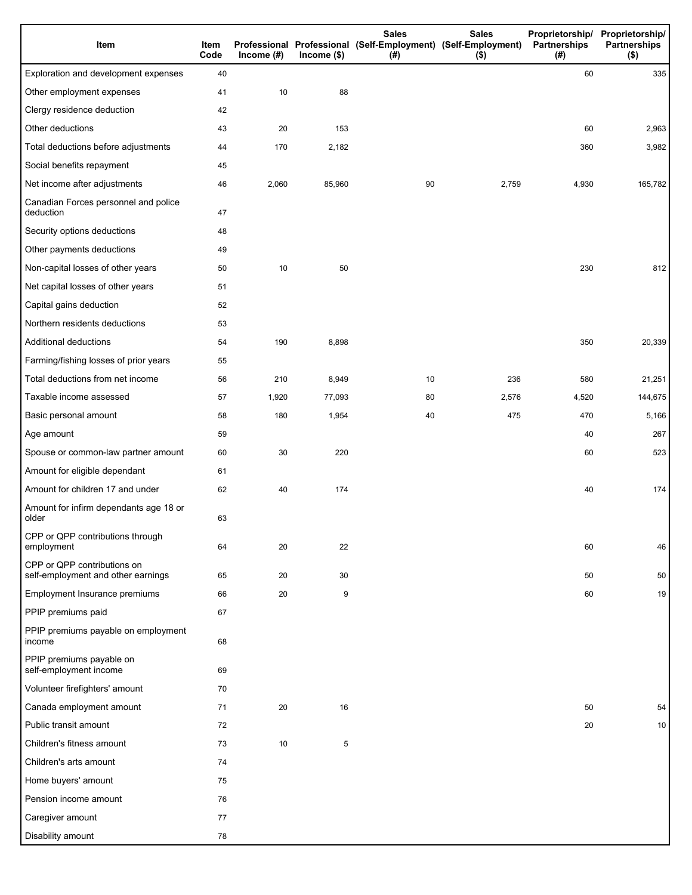| Item                                                              | Item<br>Code | Income $(#)$ | Income $($)$ | <b>Sales</b><br>Professional Professional (Self-Employment) (Self-Employment)<br>(# ) | <b>Sales</b><br>$($ \$) | Proprietorship/<br>Partnerships<br>(#) | Proprietorship/<br><b>Partnerships</b><br>$($ \$) |
|-------------------------------------------------------------------|--------------|--------------|--------------|---------------------------------------------------------------------------------------|-------------------------|----------------------------------------|---------------------------------------------------|
| Exploration and development expenses                              | 40           |              |              |                                                                                       |                         | 60                                     | 335                                               |
| Other employment expenses                                         | 41           | 10           | 88           |                                                                                       |                         |                                        |                                                   |
| Clergy residence deduction                                        | 42           |              |              |                                                                                       |                         |                                        |                                                   |
| Other deductions                                                  | 43           | 20           | 153          |                                                                                       |                         | 60                                     | 2,963                                             |
| Total deductions before adjustments                               | 44           | 170          | 2,182        |                                                                                       |                         | 360                                    | 3,982                                             |
| Social benefits repayment                                         | 45           |              |              |                                                                                       |                         |                                        |                                                   |
| Net income after adjustments                                      | 46           | 2,060        | 85,960       | 90                                                                                    | 2,759                   | 4,930                                  | 165,782                                           |
| Canadian Forces personnel and police<br>deduction                 | 47           |              |              |                                                                                       |                         |                                        |                                                   |
| Security options deductions                                       | 48           |              |              |                                                                                       |                         |                                        |                                                   |
| Other payments deductions                                         | 49           |              |              |                                                                                       |                         |                                        |                                                   |
| Non-capital losses of other years                                 | 50           | 10           | 50           |                                                                                       |                         | 230                                    | 812                                               |
| Net capital losses of other years                                 | 51           |              |              |                                                                                       |                         |                                        |                                                   |
| Capital gains deduction                                           | 52           |              |              |                                                                                       |                         |                                        |                                                   |
| Northern residents deductions                                     | 53           |              |              |                                                                                       |                         |                                        |                                                   |
| Additional deductions                                             | 54           | 190          | 8,898        |                                                                                       |                         | 350                                    | 20,339                                            |
| Farming/fishing losses of prior years                             | 55           |              |              |                                                                                       |                         |                                        |                                                   |
| Total deductions from net income                                  | 56           | 210          | 8,949        | 10                                                                                    | 236                     | 580                                    | 21,251                                            |
| Taxable income assessed                                           | 57           | 1,920        | 77,093       | 80                                                                                    | 2,576                   | 4,520                                  | 144,675                                           |
| Basic personal amount                                             | 58           | 180          | 1,954        | 40                                                                                    | 475                     | 470                                    | 5,166                                             |
| Age amount                                                        | 59           |              |              |                                                                                       |                         | 40                                     | 267                                               |
| Spouse or common-law partner amount                               | 60           | 30           | 220          |                                                                                       |                         | 60                                     | 523                                               |
| Amount for eligible dependant                                     | 61           |              |              |                                                                                       |                         |                                        |                                                   |
| Amount for children 17 and under                                  | 62           | 40           | 174          |                                                                                       |                         | 40                                     | 174                                               |
| Amount for infirm dependants age 18 or<br>older                   | 63           |              |              |                                                                                       |                         |                                        |                                                   |
| CPP or QPP contributions through<br>employment                    | 64           | 20           | 22           |                                                                                       |                         | 60                                     | 46                                                |
| CPP or QPP contributions on<br>self-employment and other earnings | 65           | 20           | 30           |                                                                                       |                         | 50                                     | 50                                                |
| Employment Insurance premiums                                     | 66           | 20           | 9            |                                                                                       |                         | 60                                     | 19                                                |
| PPIP premiums paid                                                | 67           |              |              |                                                                                       |                         |                                        |                                                   |
| PPIP premiums payable on employment<br>income                     | 68           |              |              |                                                                                       |                         |                                        |                                                   |
| PPIP premiums payable on<br>self-employment income                | 69           |              |              |                                                                                       |                         |                                        |                                                   |
| Volunteer firefighters' amount                                    | 70           |              |              |                                                                                       |                         |                                        |                                                   |
| Canada employment amount                                          | 71           | 20           | 16           |                                                                                       |                         | 50                                     | 54                                                |
| Public transit amount                                             | 72           |              |              |                                                                                       |                         | 20                                     | 10 <sup>1</sup>                                   |
| Children's fitness amount                                         | 73           | 10           | 5            |                                                                                       |                         |                                        |                                                   |
| Children's arts amount                                            | 74           |              |              |                                                                                       |                         |                                        |                                                   |
| Home buyers' amount                                               | 75           |              |              |                                                                                       |                         |                                        |                                                   |
| Pension income amount                                             | 76           |              |              |                                                                                       |                         |                                        |                                                   |
| Caregiver amount                                                  | 77           |              |              |                                                                                       |                         |                                        |                                                   |
| Disability amount                                                 | 78           |              |              |                                                                                       |                         |                                        |                                                   |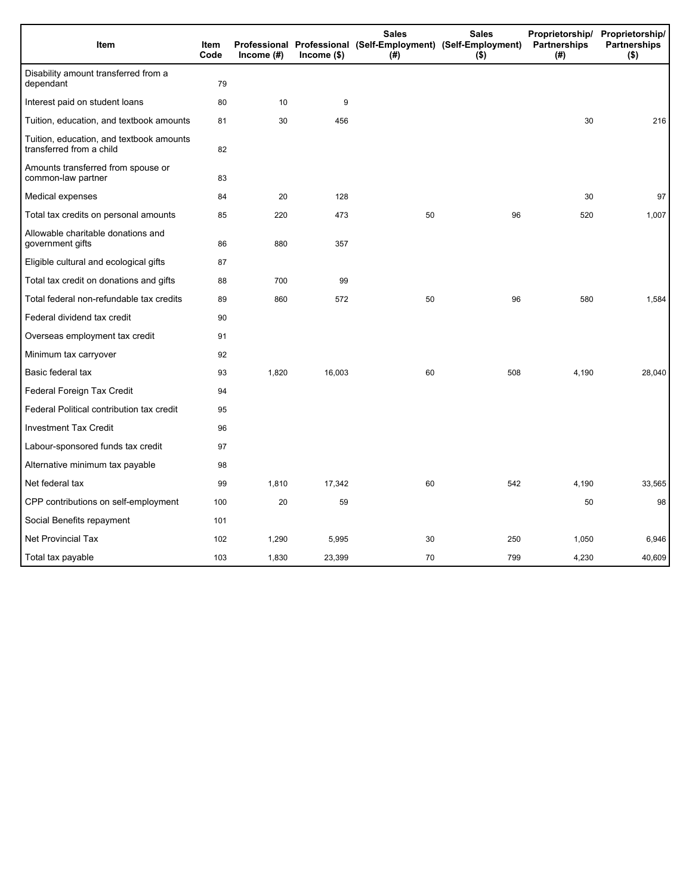| Item                                                                 | Item<br>Code | Income $(\#)$ | $Income$ (\$) | <b>Sales</b><br>Professional Professional (Self-Employment) (Self-Employment)<br>(#) | <b>Sales</b><br>$($ \$) | Partnerships<br>(#) | Proprietorship/ Proprietorship/<br><b>Partnerships</b><br>$($ \$) |
|----------------------------------------------------------------------|--------------|---------------|---------------|--------------------------------------------------------------------------------------|-------------------------|---------------------|-------------------------------------------------------------------|
| Disability amount transferred from a<br>dependant                    | 79           |               |               |                                                                                      |                         |                     |                                                                   |
| Interest paid on student loans                                       | 80           | 10            | 9             |                                                                                      |                         |                     |                                                                   |
| Tuition, education, and textbook amounts                             | 81           | 30            | 456           |                                                                                      |                         | 30                  | 216                                                               |
| Tuition, education, and textbook amounts<br>transferred from a child | 82           |               |               |                                                                                      |                         |                     |                                                                   |
| Amounts transferred from spouse or<br>common-law partner             | 83           |               |               |                                                                                      |                         |                     |                                                                   |
| Medical expenses                                                     | 84           | 20            | 128           |                                                                                      |                         | 30                  | 97                                                                |
| Total tax credits on personal amounts                                | 85           | 220           | 473           | 50                                                                                   | 96                      | 520                 | 1,007                                                             |
| Allowable charitable donations and<br>government gifts               | 86           | 880           | 357           |                                                                                      |                         |                     |                                                                   |
| Eligible cultural and ecological gifts                               | 87           |               |               |                                                                                      |                         |                     |                                                                   |
| Total tax credit on donations and gifts                              | 88           | 700           | 99            |                                                                                      |                         |                     |                                                                   |
| Total federal non-refundable tax credits                             | 89           | 860           | 572           | 50                                                                                   | 96                      | 580                 | 1,584                                                             |
| Federal dividend tax credit                                          | 90           |               |               |                                                                                      |                         |                     |                                                                   |
| Overseas employment tax credit                                       | 91           |               |               |                                                                                      |                         |                     |                                                                   |
| Minimum tax carryover                                                | 92           |               |               |                                                                                      |                         |                     |                                                                   |
| Basic federal tax                                                    | 93           | 1,820         | 16,003        | 60                                                                                   | 508                     | 4,190               | 28,040                                                            |
| Federal Foreign Tax Credit                                           | 94           |               |               |                                                                                      |                         |                     |                                                                   |
| Federal Political contribution tax credit                            | 95           |               |               |                                                                                      |                         |                     |                                                                   |
| <b>Investment Tax Credit</b>                                         | 96           |               |               |                                                                                      |                         |                     |                                                                   |
| Labour-sponsored funds tax credit                                    | 97           |               |               |                                                                                      |                         |                     |                                                                   |
| Alternative minimum tax payable                                      | 98           |               |               |                                                                                      |                         |                     |                                                                   |
| Net federal tax                                                      | 99           | 1,810         | 17,342        | 60                                                                                   | 542                     | 4,190               | 33,565                                                            |
| CPP contributions on self-employment                                 | 100          | 20            | 59            |                                                                                      |                         | 50                  | 98                                                                |
| Social Benefits repayment                                            | 101          |               |               |                                                                                      |                         |                     |                                                                   |
| Net Provincial Tax                                                   | 102          | 1,290         | 5,995         | 30                                                                                   | 250                     | 1,050               | 6,946                                                             |
| Total tax payable                                                    | 103          | 1,830         | 23,399        | 70                                                                                   | 799                     | 4,230               | 40,609                                                            |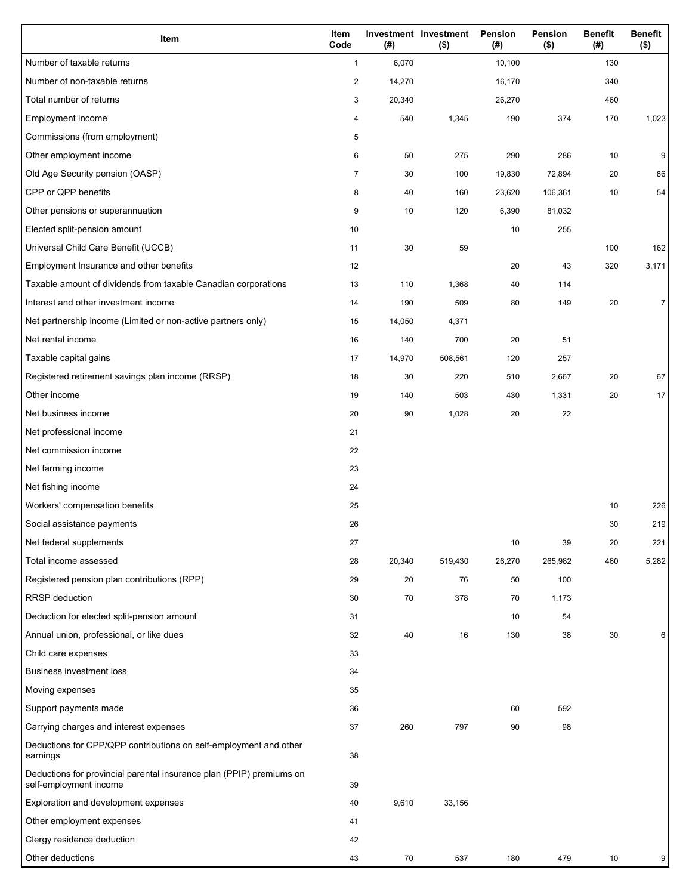| Item                                                                                           | Item<br>Code            | (#)    | <b>Investment Investment</b><br>$($ \$) | Pension<br>(#) | <b>Pension</b><br>$($ \$) | <b>Benefit</b><br>(#) | <b>Benefit</b><br>$($ \$) |
|------------------------------------------------------------------------------------------------|-------------------------|--------|-----------------------------------------|----------------|---------------------------|-----------------------|---------------------------|
| Number of taxable returns                                                                      | $\mathbf{1}$            | 6,070  |                                         | 10,100         |                           | 130                   |                           |
| Number of non-taxable returns                                                                  | $\overline{\mathbf{c}}$ | 14,270 |                                         | 16,170         |                           | 340                   |                           |
| Total number of returns                                                                        | 3                       | 20,340 |                                         | 26,270         |                           | 460                   |                           |
| Employment income                                                                              | 4                       | 540    | 1,345                                   | 190            | 374                       | 170                   | 1,023                     |
| Commissions (from employment)                                                                  | 5                       |        |                                         |                |                           |                       |                           |
| Other employment income                                                                        | 6                       | 50     | 275                                     | 290            | 286                       | 10                    | 9                         |
| Old Age Security pension (OASP)                                                                | $\overline{7}$          | 30     | 100                                     | 19,830         | 72,894                    | 20                    | 86                        |
| CPP or QPP benefits                                                                            | 8                       | 40     | 160                                     | 23,620         | 106,361                   | 10                    | 54                        |
| Other pensions or superannuation                                                               | 9                       | 10     | 120                                     | 6,390          | 81,032                    |                       |                           |
| Elected split-pension amount                                                                   | 10                      |        |                                         | 10             | 255                       |                       |                           |
| Universal Child Care Benefit (UCCB)                                                            | 11                      | 30     | 59                                      |                |                           | 100                   | 162                       |
| Employment Insurance and other benefits                                                        | 12                      |        |                                         | 20             | 43                        | 320                   | 3,171                     |
| Taxable amount of dividends from taxable Canadian corporations                                 | 13                      | 110    | 1,368                                   | 40             | 114                       |                       |                           |
| Interest and other investment income                                                           | 14                      | 190    | 509                                     | 80             | 149                       | 20                    | $\overline{7}$            |
| Net partnership income (Limited or non-active partners only)                                   | 15                      | 14,050 | 4,371                                   |                |                           |                       |                           |
| Net rental income                                                                              | 16                      | 140    | 700                                     | 20             | 51                        |                       |                           |
| Taxable capital gains                                                                          | 17                      | 14,970 | 508,561                                 | 120            | 257                       |                       |                           |
| Registered retirement savings plan income (RRSP)                                               | 18                      | 30     | 220                                     | 510            | 2,667                     | 20                    | 67                        |
| Other income                                                                                   | 19                      | 140    | 503                                     | 430            | 1,331                     | 20                    | 17                        |
| Net business income                                                                            | 20                      | 90     | 1,028                                   | 20             | 22                        |                       |                           |
| Net professional income                                                                        | 21                      |        |                                         |                |                           |                       |                           |
| Net commission income                                                                          | 22                      |        |                                         |                |                           |                       |                           |
| Net farming income                                                                             | 23                      |        |                                         |                |                           |                       |                           |
| Net fishing income                                                                             | 24                      |        |                                         |                |                           |                       |                           |
| Workers' compensation benefits                                                                 | 25                      |        |                                         |                |                           | 10                    | 226                       |
| Social assistance payments                                                                     | 26                      |        |                                         |                |                           | 30                    | 219                       |
| Net federal supplements                                                                        | 27                      |        |                                         | 10             | 39                        | 20                    | 221                       |
| Total income assessed                                                                          | 28                      | 20,340 | 519,430                                 | 26,270         | 265,982                   | 460                   | 5,282                     |
| Registered pension plan contributions (RPP)                                                    | 29                      | 20     | 76                                      | 50             | 100                       |                       |                           |
| <b>RRSP</b> deduction                                                                          | 30                      | 70     | 378                                     | 70             | 1,173                     |                       |                           |
| Deduction for elected split-pension amount                                                     | 31                      |        |                                         | 10             | 54                        |                       |                           |
| Annual union, professional, or like dues                                                       | 32                      | 40     | 16                                      | 130            | 38                        | 30                    | 6                         |
| Child care expenses                                                                            | 33                      |        |                                         |                |                           |                       |                           |
| <b>Business investment loss</b>                                                                | 34                      |        |                                         |                |                           |                       |                           |
| Moving expenses                                                                                | 35                      |        |                                         |                |                           |                       |                           |
| Support payments made                                                                          | 36                      |        |                                         | 60             | 592                       |                       |                           |
| Carrying charges and interest expenses                                                         | 37                      | 260    | 797                                     | 90             | 98                        |                       |                           |
| Deductions for CPP/QPP contributions on self-employment and other<br>earnings                  | 38                      |        |                                         |                |                           |                       |                           |
| Deductions for provincial parental insurance plan (PPIP) premiums on<br>self-employment income | 39                      |        |                                         |                |                           |                       |                           |
| Exploration and development expenses                                                           | 40                      | 9,610  | 33,156                                  |                |                           |                       |                           |
| Other employment expenses                                                                      | 41                      |        |                                         |                |                           |                       |                           |
| Clergy residence deduction                                                                     | 42                      |        |                                         |                |                           |                       |                           |
| Other deductions                                                                               | 43                      | 70     | 537                                     | 180            | 479                       | 10                    | 9                         |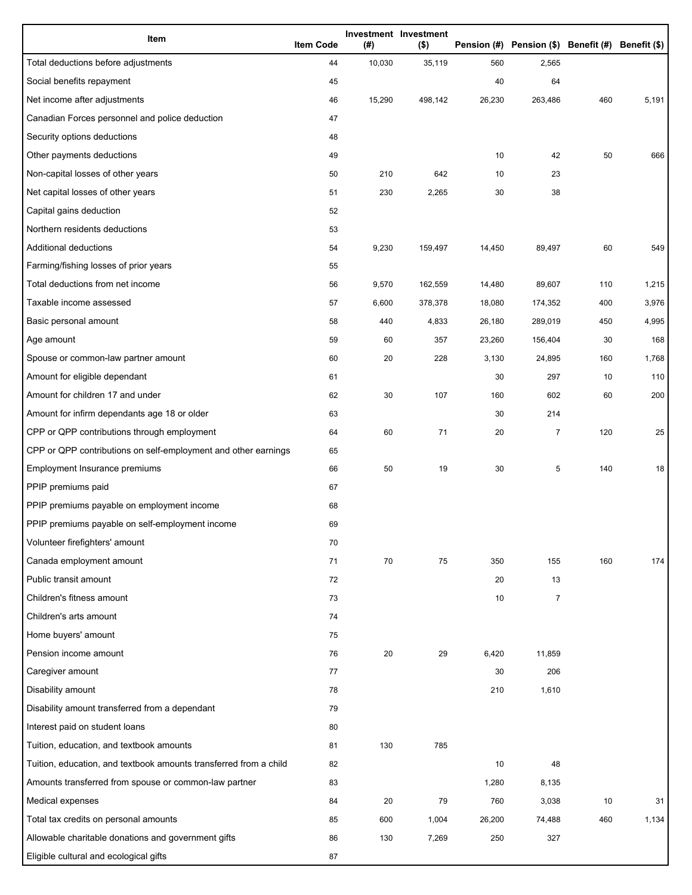| Item                                                              | <b>Item Code</b> | (#)    | Investment Investment<br>$($ \$) |        | Pension (#) Pension (\$) Benefit (#) Benefit (\$) |     |       |
|-------------------------------------------------------------------|------------------|--------|----------------------------------|--------|---------------------------------------------------|-----|-------|
| Total deductions before adjustments                               | 44               | 10,030 | 35,119                           | 560    | 2,565                                             |     |       |
| Social benefits repayment                                         | 45               |        |                                  | 40     | 64                                                |     |       |
| Net income after adjustments                                      | 46               | 15,290 | 498,142                          | 26,230 | 263,486                                           | 460 | 5,191 |
| Canadian Forces personnel and police deduction                    | 47               |        |                                  |        |                                                   |     |       |
| Security options deductions                                       | 48               |        |                                  |        |                                                   |     |       |
| Other payments deductions                                         | 49               |        |                                  | 10     | 42                                                | 50  | 666   |
| Non-capital losses of other years                                 | 50               | 210    | 642                              | 10     | 23                                                |     |       |
| Net capital losses of other years                                 | 51               | 230    | 2,265                            | 30     | 38                                                |     |       |
| Capital gains deduction                                           | 52               |        |                                  |        |                                                   |     |       |
| Northern residents deductions                                     | 53               |        |                                  |        |                                                   |     |       |
| Additional deductions                                             | 54               | 9,230  | 159,497                          | 14,450 | 89,497                                            | 60  | 549   |
| Farming/fishing losses of prior years                             | 55               |        |                                  |        |                                                   |     |       |
| Total deductions from net income                                  | 56               | 9,570  | 162,559                          | 14,480 | 89,607                                            | 110 | 1,215 |
| Taxable income assessed                                           | 57               | 6,600  | 378,378                          | 18,080 | 174,352                                           | 400 | 3,976 |
| Basic personal amount                                             | 58               | 440    | 4,833                            | 26,180 | 289,019                                           | 450 | 4,995 |
| Age amount                                                        | 59               | 60     | 357                              | 23,260 | 156,404                                           | 30  | 168   |
| Spouse or common-law partner amount                               | 60               | 20     | 228                              | 3,130  | 24,895                                            | 160 | 1,768 |
| Amount for eligible dependant                                     | 61               |        |                                  | 30     | 297                                               | 10  | 110   |
| Amount for children 17 and under                                  | 62               | 30     | 107                              | 160    | 602                                               | 60  | 200   |
| Amount for infirm dependants age 18 or older                      | 63               |        |                                  | 30     | 214                                               |     |       |
| CPP or QPP contributions through employment                       | 64               | 60     | 71                               | 20     | $\overline{7}$                                    | 120 | 25    |
| CPP or QPP contributions on self-employment and other earnings    | 65               |        |                                  |        |                                                   |     |       |
| Employment Insurance premiums                                     | 66               | 50     | 19                               | 30     | 5                                                 | 140 | 18    |
| PPIP premiums paid                                                | 67               |        |                                  |        |                                                   |     |       |
| PPIP premiums payable on employment income                        | 68               |        |                                  |        |                                                   |     |       |
| PPIP premiums payable on self-employment income                   | 69               |        |                                  |        |                                                   |     |       |
| Volunteer firefighters' amount                                    | 70               |        |                                  |        |                                                   |     |       |
| Canada employment amount                                          | 71               | 70     | 75                               | 350    | 155                                               | 160 | 174   |
| Public transit amount                                             | 72               |        |                                  | 20     | 13                                                |     |       |
| Children's fitness amount                                         | 73               |        |                                  | 10     | $\overline{7}$                                    |     |       |
| Children's arts amount                                            | 74               |        |                                  |        |                                                   |     |       |
| Home buyers' amount                                               | 75               |        |                                  |        |                                                   |     |       |
| Pension income amount                                             | 76               | 20     | 29                               | 6,420  | 11,859                                            |     |       |
| Caregiver amount                                                  | 77               |        |                                  | 30     | 206                                               |     |       |
| Disability amount                                                 | 78               |        |                                  | 210    | 1,610                                             |     |       |
| Disability amount transferred from a dependant                    | 79               |        |                                  |        |                                                   |     |       |
| Interest paid on student loans                                    | 80               |        |                                  |        |                                                   |     |       |
| Tuition, education, and textbook amounts                          | 81               | 130    | 785                              |        |                                                   |     |       |
| Tuition, education, and textbook amounts transferred from a child | 82               |        |                                  | 10     | 48                                                |     |       |
| Amounts transferred from spouse or common-law partner             | 83               |        |                                  | 1,280  | 8,135                                             |     |       |
| Medical expenses                                                  | 84               | 20     | 79                               | 760    | 3,038                                             | 10  | 31    |
| Total tax credits on personal amounts                             | 85               | 600    | 1,004                            | 26,200 | 74,488                                            | 460 | 1,134 |
| Allowable charitable donations and government gifts               | 86               | 130    | 7,269                            | 250    | 327                                               |     |       |
| Eligible cultural and ecological gifts                            | 87               |        |                                  |        |                                                   |     |       |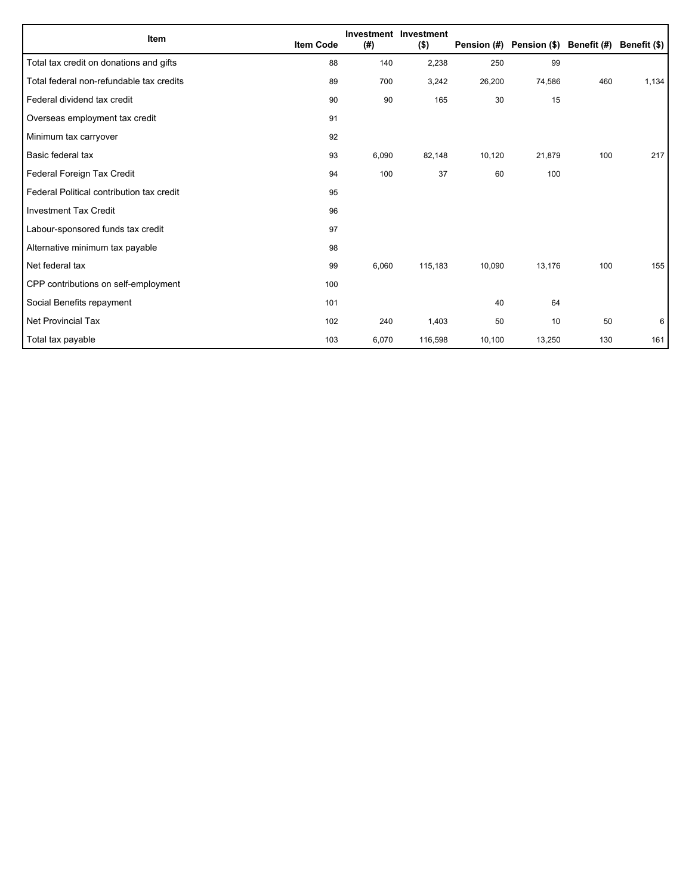| Item                                      | <b>Item Code</b> | (#)   | Investment Investment<br>$($ \$) | Pension (#) | Pension (\$) Benefit (#) Benefit (\$) |     |       |
|-------------------------------------------|------------------|-------|----------------------------------|-------------|---------------------------------------|-----|-------|
| Total tax credit on donations and gifts   | 88               | 140   | 2,238                            | 250         | 99                                    |     |       |
| Total federal non-refundable tax credits  | 89               | 700   | 3,242                            | 26,200      | 74,586                                | 460 | 1,134 |
| Federal dividend tax credit               | 90               | 90    | 165                              | 30          | 15                                    |     |       |
| Overseas employment tax credit            | 91               |       |                                  |             |                                       |     |       |
| Minimum tax carryover                     | 92               |       |                                  |             |                                       |     |       |
| Basic federal tax                         | 93               | 6,090 | 82,148                           | 10,120      | 21,879                                | 100 | 217   |
| Federal Foreign Tax Credit                | 94               | 100   | 37                               | 60          | 100                                   |     |       |
| Federal Political contribution tax credit | 95               |       |                                  |             |                                       |     |       |
| <b>Investment Tax Credit</b>              | 96               |       |                                  |             |                                       |     |       |
| Labour-sponsored funds tax credit         | 97               |       |                                  |             |                                       |     |       |
| Alternative minimum tax payable           | 98               |       |                                  |             |                                       |     |       |
| Net federal tax                           | 99               | 6,060 | 115,183                          | 10,090      | 13,176                                | 100 | 155   |
| CPP contributions on self-employment      | 100              |       |                                  |             |                                       |     |       |
| Social Benefits repayment                 | 101              |       |                                  | 40          | 64                                    |     |       |
| Net Provincial Tax                        | 102              | 240   | 1,403                            | 50          | 10                                    | 50  | 6     |
| Total tax payable                         | 103              | 6,070 | 116,598                          | 10,100      | 13,250                                | 130 | 161   |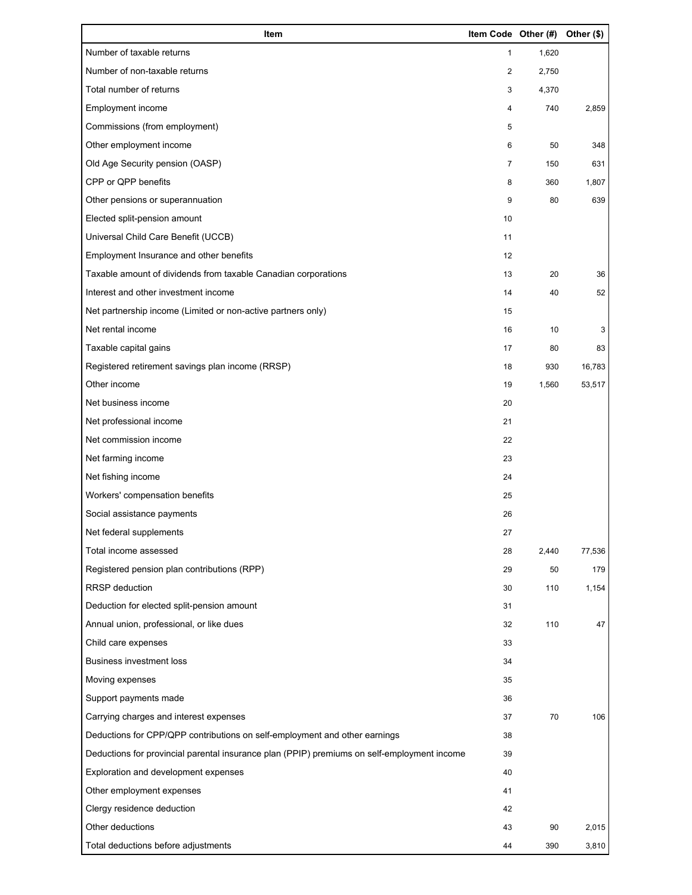| Item                                                                                        | Item Code Other (#) |       | Other (\$) |
|---------------------------------------------------------------------------------------------|---------------------|-------|------------|
| Number of taxable returns                                                                   | 1                   | 1,620 |            |
| Number of non-taxable returns                                                               | 2                   | 2,750 |            |
| Total number of returns                                                                     | 3                   | 4,370 |            |
| Employment income                                                                           | 4                   | 740   | 2,859      |
| Commissions (from employment)                                                               | 5                   |       |            |
| Other employment income                                                                     | 6                   | 50    | 348        |
| Old Age Security pension (OASP)                                                             | $\overline{7}$      | 150   | 631        |
| CPP or QPP benefits                                                                         | 8                   | 360   | 1,807      |
| Other pensions or superannuation                                                            | 9                   | 80    | 639        |
| Elected split-pension amount                                                                | 10                  |       |            |
| Universal Child Care Benefit (UCCB)                                                         | 11                  |       |            |
| Employment Insurance and other benefits                                                     | 12                  |       |            |
| Taxable amount of dividends from taxable Canadian corporations                              | 13                  | 20    | 36         |
| Interest and other investment income                                                        | 14                  | 40    | 52         |
| Net partnership income (Limited or non-active partners only)                                | 15                  |       |            |
| Net rental income                                                                           | 16                  | 10    | 3          |
| Taxable capital gains                                                                       | 17                  | 80    | 83         |
| Registered retirement savings plan income (RRSP)                                            | 18                  | 930   | 16,783     |
| Other income                                                                                | 19                  | 1,560 | 53,517     |
| Net business income                                                                         | 20                  |       |            |
| Net professional income                                                                     | 21                  |       |            |
| Net commission income                                                                       | 22                  |       |            |
| Net farming income                                                                          | 23                  |       |            |
| Net fishing income                                                                          | 24                  |       |            |
| Workers' compensation benefits                                                              | 25                  |       |            |
| Social assistance payments                                                                  | 26                  |       |            |
| Net federal supplements                                                                     | 27                  |       |            |
| Total income assessed                                                                       | 28                  | 2,440 | 77,536     |
| Registered pension plan contributions (RPP)                                                 | 29                  | 50    | 179        |
| RRSP deduction                                                                              | 30                  | 110   | 1,154      |
| Deduction for elected split-pension amount                                                  | 31                  |       |            |
| Annual union, professional, or like dues                                                    | 32                  | 110   | 47         |
| Child care expenses                                                                         | 33                  |       |            |
| Business investment loss                                                                    | 34                  |       |            |
| Moving expenses                                                                             | 35                  |       |            |
| Support payments made                                                                       | 36                  |       |            |
| Carrying charges and interest expenses                                                      | 37                  | 70    | 106        |
| Deductions for CPP/QPP contributions on self-employment and other earnings                  | 38                  |       |            |
| Deductions for provincial parental insurance plan (PPIP) premiums on self-employment income | 39                  |       |            |
| Exploration and development expenses                                                        | 40                  |       |            |
| Other employment expenses                                                                   | 41                  |       |            |
| Clergy residence deduction                                                                  | 42                  |       |            |
| Other deductions                                                                            | 43                  | 90    | 2,015      |
| Total deductions before adjustments                                                         | 44                  | 390   | 3,810      |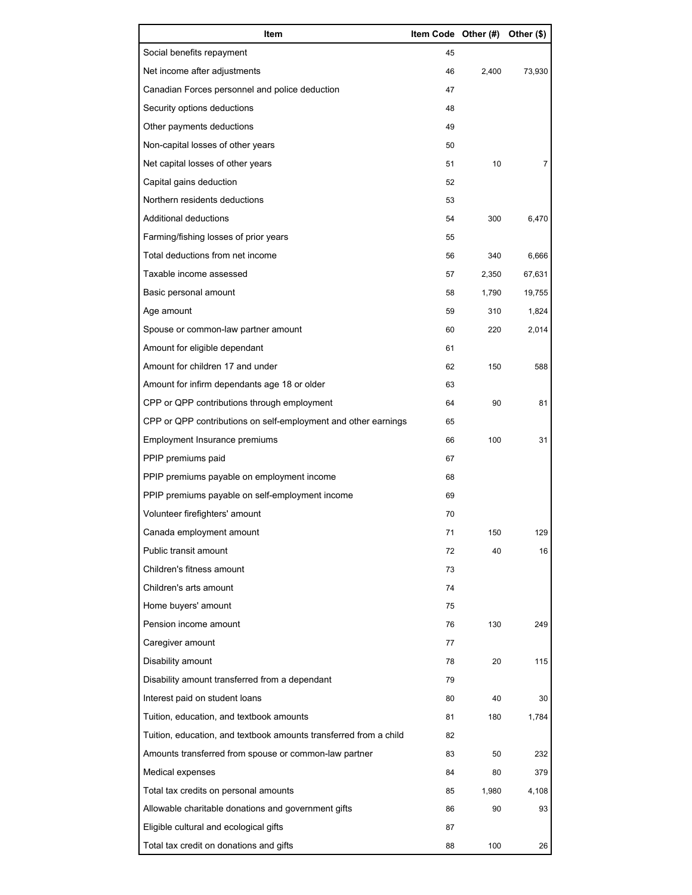| Item                                                              | Item Code Other (#) |       | Other (\$) |
|-------------------------------------------------------------------|---------------------|-------|------------|
| Social benefits repayment                                         | 45                  |       |            |
| Net income after adjustments                                      | 46                  | 2,400 | 73,930     |
| Canadian Forces personnel and police deduction                    | 47                  |       |            |
| Security options deductions                                       | 48                  |       |            |
| Other payments deductions                                         | 49                  |       |            |
| Non-capital losses of other years                                 | 50                  |       |            |
| Net capital losses of other years                                 | 51                  | 10    | 7          |
| Capital gains deduction                                           | 52                  |       |            |
| Northern residents deductions                                     | 53                  |       |            |
| Additional deductions                                             | 54                  | 300   | 6,470      |
| Farming/fishing losses of prior years                             | 55                  |       |            |
| Total deductions from net income                                  | 56                  | 340   | 6,666      |
| Taxable income assessed                                           | 57                  | 2,350 | 67,631     |
| Basic personal amount                                             | 58                  | 1,790 | 19,755     |
| Age amount                                                        | 59                  | 310   | 1,824      |
| Spouse or common-law partner amount                               | 60                  | 220   | 2,014      |
| Amount for eligible dependant                                     | 61                  |       |            |
| Amount for children 17 and under                                  | 62                  | 150   | 588        |
| Amount for infirm dependants age 18 or older                      | 63                  |       |            |
| CPP or QPP contributions through employment                       | 64                  | 90    | 81         |
| CPP or QPP contributions on self-employment and other earnings    | 65                  |       |            |
| Employment Insurance premiums                                     | 66                  | 100   | 31         |
| PPIP premiums paid                                                | 67                  |       |            |
| PPIP premiums payable on employment income                        | 68                  |       |            |
| PPIP premiums payable on self-employment income                   | 69                  |       |            |
| Volunteer firefighters' amount                                    | 70                  |       |            |
| Canada employment amount                                          | 71                  | 150   | 129        |
| Public transit amount                                             | 72                  | 40    | 16         |
| Children's fitness amount                                         | 73                  |       |            |
| Children's arts amount                                            | 74                  |       |            |
| Home buyers' amount                                               | 75                  |       |            |
| Pension income amount                                             | 76                  | 130   | 249        |
| Caregiver amount                                                  | 77                  |       |            |
| Disability amount                                                 | 78                  | 20    | 115        |
| Disability amount transferred from a dependant                    | 79                  |       |            |
| Interest paid on student loans                                    | 80                  | 40    | 30         |
| Tuition, education, and textbook amounts                          | 81                  | 180   | 1,784      |
| Tuition, education, and textbook amounts transferred from a child | 82                  |       |            |
| Amounts transferred from spouse or common-law partner             | 83                  | 50    | 232        |
| Medical expenses                                                  | 84                  | 80    | 379        |
| Total tax credits on personal amounts                             | 85                  | 1,980 | 4,108      |
| Allowable charitable donations and government gifts               | 86                  | 90    | 93         |
| Eligible cultural and ecological gifts                            | 87                  |       |            |
| Total tax credit on donations and gifts                           | 88                  | 100   | 26         |